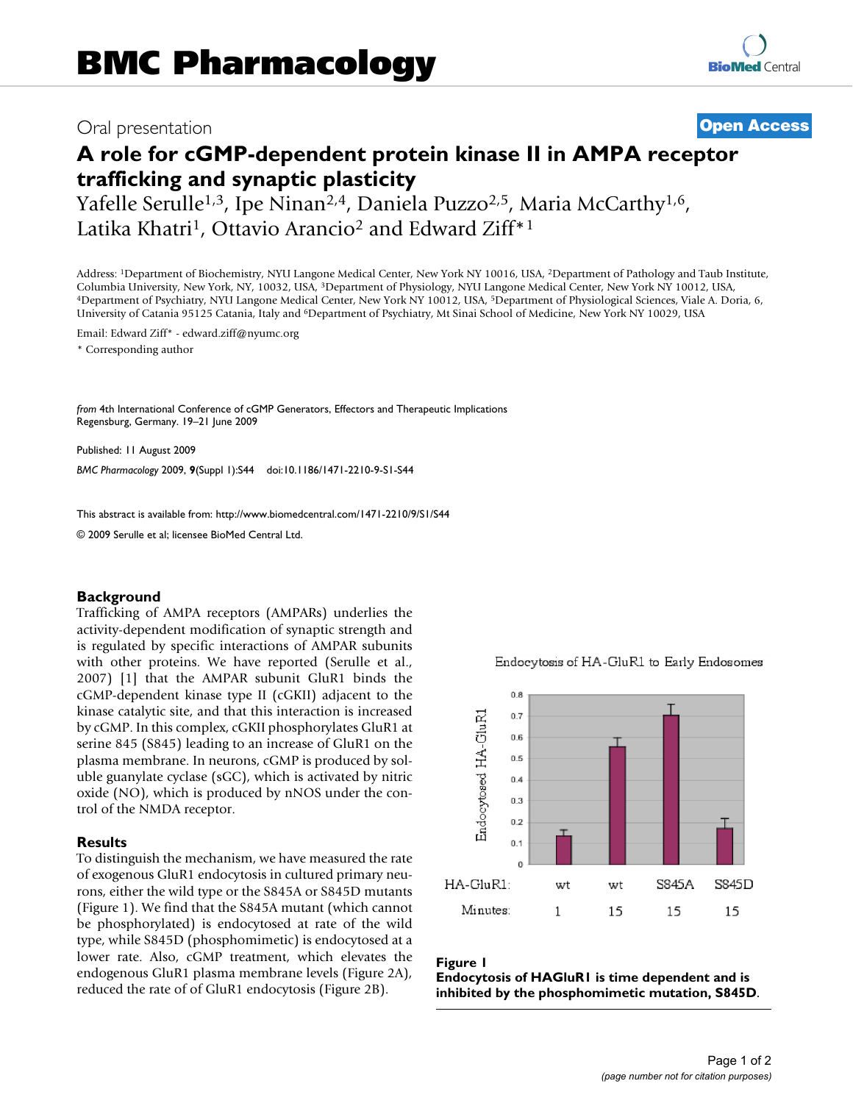## Oral presentation **[Open Access](http://www.biomedcentral.com/info/about/charter/)**

# **A role for cGMP-dependent protein kinase II in AMPA receptor trafficking and synaptic plasticity**

Yafelle Serulle<sup>1,3</sup>, Ipe Ninan<sup>2,4</sup>, Daniela Puzzo<sup>2,5</sup>, Maria McCarthy<sup>1,6</sup>, Latika Khatri<sup>1</sup>, Ottavio Arancio<sup>2</sup> and Edward Ziff<sup>\*1</sup>

Address: 1Department of Biochemistry, NYU Langone Medical Center, New York NY 10016, USA, 2Department of Pathology and Taub Institute, Columbia University, New York, NY, 10032, USA, <sup>3</sup>Department of Physiology, NYU Langone Medical Center, New York NY 10012, USA, 4Department of Psychiatry, NYU Langone Medical Center, New York NY 10012, USA, 4Department of University of Catania 95125 Catania, Italy and 6Department of Psychiatry, Mt Sinai School of Medicine, New York NY 10029, USA

Email: Edward Ziff\* - edward.ziff@nyumc.org

\* Corresponding author

*from* 4th International Conference of cGMP Generators, Effectors and Therapeutic Implications Regensburg, Germany. 19–21 June 2009

Published: 11 August 2009 *BMC Pharmacology* 2009, **9**(Suppl 1):S44 doi:10.1186/1471-2210-9-S1-S44

[This abstract is available from: http://www.biomedcentral.com/1471-2210/9/S1/S44](http://www.biomedcentral.com/1471-2210/9/S1/S44)

© 2009 Serulle et al; licensee BioMed Central Ltd.

#### **Background**

Trafficking of AMPA receptors (AMPARs) underlies the activity-dependent modification of synaptic strength and is regulated by specific interactions of AMPAR subunits with other proteins. We have reported (Serulle et al., 2007) [1] that the AMPAR subunit GluR1 binds the cGMP-dependent kinase type II (cGKII) adjacent to the kinase catalytic site, and that this interaction is increased by cGMP. In this complex, cGKII phosphorylates GluR1 at serine 845 (S845) leading to an increase of GluR1 on the plasma membrane. In neurons, cGMP is produced by soluble guanylate cyclase (sGC), which is activated by nitric oxide (NO), which is produced by nNOS under the control of the NMDA receptor.

#### **Results**

To distinguish the mechanism, we have measured the rate of exogenous GluR1 endocytosis in cultured primary neurons, either the wild type or the S845A or S845D mutants (Figure 1). We find that the S845A mutant (which cannot be phosphorylated) is endocytosed at rate of the wild type, while S845D (phosphomimetic) is endocytosed at a lower rate. Also, cGMP treatment, which elevates the endogenous GluR1 plasma membrane levels (Figure 2A), reduced the rate of of GluR1 endocytosis (Figure 2B).



Endocytosis of HA-GluR1 to Early Endosomes

### Figure 1

**Endocytosis of HAGluR1 is time dependent and is inhibited by the phosphomimetic mutation, S845D**.